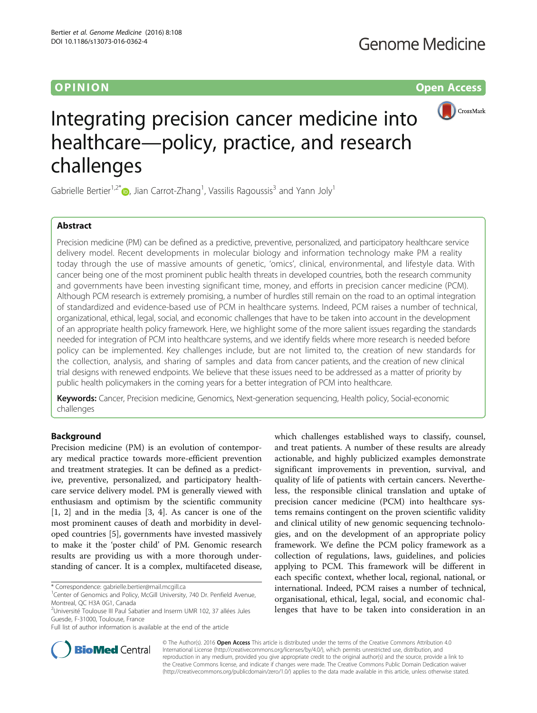O PINION Open Access



# Integrating precision cancer medicine into healthcare—policy, practice, and research challenges

Gabrielle Bertier<sup>1[,](http://orcid.org/0000-0002-3319-3721)2\*</sup> $\textcircled{\tiny D}$ , Jian Carrot-Zhang<sup>1</sup>, Vassilis Ragoussis<sup>3</sup> and Yann Joly<sup>1</sup>

# Abstract

Precision medicine (PM) can be defined as a predictive, preventive, personalized, and participatory healthcare service delivery model. Recent developments in molecular biology and information technology make PM a reality today through the use of massive amounts of genetic, 'omics', clinical, environmental, and lifestyle data. With cancer being one of the most prominent public health threats in developed countries, both the research community and governments have been investing significant time, money, and efforts in precision cancer medicine (PCM). Although PCM research is extremely promising, a number of hurdles still remain on the road to an optimal integration of standardized and evidence-based use of PCM in healthcare systems. Indeed, PCM raises a number of technical, organizational, ethical, legal, social, and economic challenges that have to be taken into account in the development of an appropriate health policy framework. Here, we highlight some of the more salient issues regarding the standards needed for integration of PCM into healthcare systems, and we identify fields where more research is needed before policy can be implemented. Key challenges include, but are not limited to, the creation of new standards for the collection, analysis, and sharing of samples and data from cancer patients, and the creation of new clinical trial designs with renewed endpoints. We believe that these issues need to be addressed as a matter of priority by public health policymakers in the coming years for a better integration of PCM into healthcare.

Keywords: Cancer, Precision medicine, Genomics, Next-generation sequencing, Health policy, Social-economic challenges

# Background

Precision medicine (PM) is an evolution of contemporary medical practice towards more-efficient prevention and treatment strategies. It can be defined as a predictive, preventive, personalized, and participatory healthcare service delivery model. PM is generally viewed with enthusiasm and optimism by the scientific community [[1, 2](#page-9-0)] and in the media [\[3, 4](#page-9-0)]. As cancer is one of the most prominent causes of death and morbidity in developed countries [\[5\]](#page-9-0), governments have invested massively to make it the 'poster child' of PM. Genomic research results are providing us with a more thorough understanding of cancer. It is a complex, multifaceted disease,

which challenges established ways to classify, counsel, and treat patients. A number of these results are already actionable, and highly publicized examples demonstrate significant improvements in prevention, survival, and quality of life of patients with certain cancers. Nevertheless, the responsible clinical translation and uptake of precision cancer medicine (PCM) into healthcare systems remains contingent on the proven scientific validity and clinical utility of new genomic sequencing technologies, and on the development of an appropriate policy framework. We define the PCM policy framework as a collection of regulations, laws, guidelines, and policies applying to PCM. This framework will be different in each specific context, whether local, regional, national, or international. Indeed, PCM raises a number of technical, organisational, ethical, legal, social, and economic challenges that have to be taken into consideration in an



© The Author(s). 2016 **Open Access** This article is distributed under the terms of the Creative Commons Attribution 4.0 International License [\(http://creativecommons.org/licenses/by/4.0/](http://creativecommons.org/licenses/by/4.0/)), which permits unrestricted use, distribution, and reproduction in any medium, provided you give appropriate credit to the original author(s) and the source, provide a link to the Creative Commons license, and indicate if changes were made. The Creative Commons Public Domain Dedication waiver [\(http://creativecommons.org/publicdomain/zero/1.0/](http://creativecommons.org/publicdomain/zero/1.0/)) applies to the data made available in this article, unless otherwise stated.

<sup>\*</sup> Correspondence: [gabrielle.bertier@mail.mcgill.ca](mailto:gabrielle.bertier@mail.mcgill.ca) <sup>1</sup>

<sup>&</sup>lt;sup>1</sup> Center of Genomics and Policy, McGill University, 740 Dr. Penfield Avenue, Montreal, QC H3A 0G1, Canada

<sup>&</sup>lt;sup>2</sup>Université Toulouse III Paul Sabatier and Inserm UMR 102, 37 allées Jules Guesde, F-31000, Toulouse, France

Full list of author information is available at the end of the article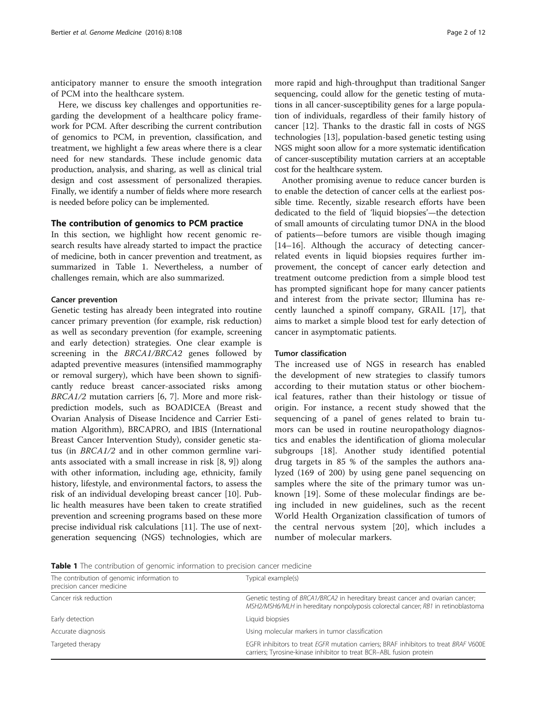anticipatory manner to ensure the smooth integration of PCM into the healthcare system.

Here, we discuss key challenges and opportunities regarding the development of a healthcare policy framework for PCM. After describing the current contribution of genomics to PCM, in prevention, classification, and treatment, we highlight a few areas where there is a clear need for new standards. These include genomic data production, analysis, and sharing, as well as clinical trial design and cost assessment of personalized therapies. Finally, we identify a number of fields where more research is needed before policy can be implemented.

# The contribution of genomics to PCM practice

In this section, we highlight how recent genomic research results have already started to impact the practice of medicine, both in cancer prevention and treatment, as summarized in Table 1. Nevertheless, a number of challenges remain, which are also summarized.

# Cancer prevention

Genetic testing has already been integrated into routine cancer primary prevention (for example, risk reduction) as well as secondary prevention (for example, screening and early detection) strategies. One clear example is screening in the BRCA1/BRCA2 genes followed by adapted preventive measures (intensified mammography or removal surgery), which have been shown to significantly reduce breast cancer-associated risks among BRCA1/2 mutation carriers [[6, 7](#page-9-0)]. More and more riskprediction models, such as BOADICEA (Breast and Ovarian Analysis of Disease Incidence and Carrier Estimation Algorithm), BRCAPRO, and IBIS (International Breast Cancer Intervention Study), consider genetic status (in BRCA1/2 and in other common germline variants associated with a small increase in risk [[8, 9\]](#page-9-0)) along with other information, including age, ethnicity, family history, lifestyle, and environmental factors, to assess the risk of an individual developing breast cancer [\[10](#page-9-0)]. Public health measures have been taken to create stratified prevention and screening programs based on these more precise individual risk calculations [\[11\]](#page-9-0). The use of nextgeneration sequencing (NGS) technologies, which are

more rapid and high-throughput than traditional Sanger sequencing, could allow for the genetic testing of mutations in all cancer-susceptibility genes for a large population of individuals, regardless of their family history of cancer [[12\]](#page-9-0). Thanks to the drastic fall in costs of NGS technologies [\[13\]](#page-9-0), population-based genetic testing using NGS might soon allow for a more systematic identification of cancer-susceptibility mutation carriers at an acceptable cost for the healthcare system.

Another promising avenue to reduce cancer burden is to enable the detection of cancer cells at the earliest possible time. Recently, sizable research efforts have been dedicated to the field of 'liquid biopsies'—the detection of small amounts of circulating tumor DNA in the blood of patients—before tumors are visible though imaging [[14](#page-9-0)–[16](#page-9-0)]. Although the accuracy of detecting cancerrelated events in liquid biopsies requires further improvement, the concept of cancer early detection and treatment outcome prediction from a simple blood test has prompted significant hope for many cancer patients and interest from the private sector; Illumina has recently launched a spinoff company, GRAIL [\[17\]](#page-9-0), that aims to market a simple blood test for early detection of cancer in asymptomatic patients.

# Tumor classification

The increased use of NGS in research has enabled the development of new strategies to classify tumors according to their mutation status or other biochemical features, rather than their histology or tissue of origin. For instance, a recent study showed that the sequencing of a panel of genes related to brain tumors can be used in routine neuropathology diagnostics and enables the identification of glioma molecular subgroups [[18\]](#page-9-0). Another study identified potential drug targets in 85 % of the samples the authors analyzed (169 of 200) by using gene panel sequencing on samples where the site of the primary tumor was unknown [\[19](#page-9-0)]. Some of these molecular findings are being included in new guidelines, such as the recent World Health Organization classification of tumors of the central nervous system [[20\]](#page-9-0), which includes a number of molecular markers.

Table 1 The contribution of genomic information to precision cancer medicine

| The contribution of genomic information to<br>precision cancer medicine                                                                                                                      | Typical example(s)                                                                                                                                          |
|----------------------------------------------------------------------------------------------------------------------------------------------------------------------------------------------|-------------------------------------------------------------------------------------------------------------------------------------------------------------|
| Cancer risk reduction<br>Genetic testing of BRCA1/BRCA2 in hereditary breast cancer and ovarian cancer;<br>MSH2/MSH6/MLH in hereditary nonpolyposis colorectal cancer; RB1 in retinoblastoma |                                                                                                                                                             |
| Early detection                                                                                                                                                                              | Liquid biopsies                                                                                                                                             |
| Accurate diagnosis                                                                                                                                                                           | Using molecular markers in tumor classification                                                                                                             |
| Targeted therapy                                                                                                                                                                             | EGFR inhibitors to treat EGFR mutation carriers; BRAF inhibitors to treat BRAF V600E<br>carriers; Tyrosine-kinase inhibitor to treat BCR-ABL fusion protein |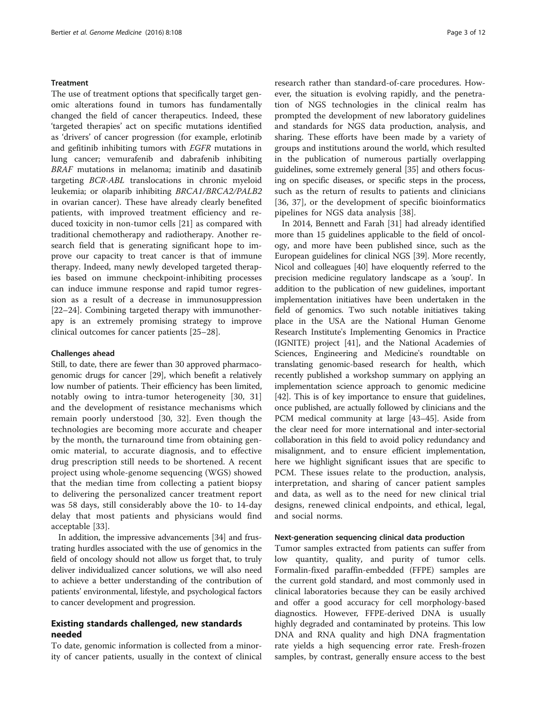# **Treatment**

The use of treatment options that specifically target genomic alterations found in tumors has fundamentally changed the field of cancer therapeutics. Indeed, these 'targeted therapies' act on specific mutations identified as 'drivers' of cancer progression (for example, erlotinib and gefitinib inhibiting tumors with EGFR mutations in lung cancer; vemurafenib and dabrafenib inhibiting BRAF mutations in melanoma; imatinib and dasatinib targeting BCR-ABL translocations in chronic myeloid leukemia; or olaparib inhibiting BRCA1/BRCA2/PALB2 in ovarian cancer). These have already clearly benefited patients, with improved treatment efficiency and reduced toxicity in non-tumor cells [\[21\]](#page-9-0) as compared with traditional chemotherapy and radiotherapy. Another research field that is generating significant hope to improve our capacity to treat cancer is that of immune therapy. Indeed, many newly developed targeted therapies based on immune checkpoint-inhibiting processes can induce immune response and rapid tumor regression as a result of a decrease in immunosuppression [[22](#page-9-0)–[24](#page-9-0)]. Combining targeted therapy with immunotherapy is an extremely promising strategy to improve clinical outcomes for cancer patients [\[25](#page-9-0)–[28](#page-9-0)].

# Challenges ahead

Still, to date, there are fewer than 30 approved pharmacogenomic drugs for cancer [\[29\]](#page-9-0), which benefit a relatively low number of patients. Their efficiency has been limited, notably owing to intra-tumor heterogeneity [\[30](#page-9-0), [31](#page-9-0)] and the development of resistance mechanisms which remain poorly understood [[30](#page-9-0), [32\]](#page-10-0). Even though the technologies are becoming more accurate and cheaper by the month, the turnaround time from obtaining genomic material, to accurate diagnosis, and to effective drug prescription still needs to be shortened. A recent project using whole-genome sequencing (WGS) showed that the median time from collecting a patient biopsy to delivering the personalized cancer treatment report was 58 days, still considerably above the 10- to 14-day delay that most patients and physicians would find acceptable [\[33](#page-10-0)].

In addition, the impressive advancements [\[34\]](#page-10-0) and frustrating hurdles associated with the use of genomics in the field of oncology should not allow us forget that, to truly deliver individualized cancer solutions, we will also need to achieve a better understanding of the contribution of patients' environmental, lifestyle, and psychological factors to cancer development and progression.

# Existing standards challenged, new standards needed

To date, genomic information is collected from a minority of cancer patients, usually in the context of clinical research rather than standard-of-care procedures. However, the situation is evolving rapidly, and the penetration of NGS technologies in the clinical realm has prompted the development of new laboratory guidelines and standards for NGS data production, analysis, and sharing. These efforts have been made by a variety of groups and institutions around the world, which resulted in the publication of numerous partially overlapping guidelines, some extremely general [\[35\]](#page-10-0) and others focusing on specific diseases, or specific steps in the process, such as the return of results to patients and clinicians [[36](#page-10-0), [37](#page-10-0)], or the development of specific bioinformatics pipelines for NGS data analysis [[38\]](#page-10-0).

In 2014, Bennett and Farah [\[31\]](#page-9-0) had already identified more than 15 guidelines applicable to the field of oncology, and more have been published since, such as the European guidelines for clinical NGS [\[39](#page-10-0)]. More recently, Nicol and colleagues [[40](#page-10-0)] have eloquently referred to the precision medicine regulatory landscape as a 'soup'. In addition to the publication of new guidelines, important implementation initiatives have been undertaken in the field of genomics. Two such notable initiatives taking place in the USA are the National Human Genome Research Institute's Implementing Genomics in Practice (IGNITE) project [\[41\]](#page-10-0), and the National Academies of Sciences, Engineering and Medicine's roundtable on translating genomic-based research for health, which recently published a workshop summary on applying an implementation science approach to genomic medicine [[42](#page-10-0)]. This is of key importance to ensure that guidelines, once published, are actually followed by clinicians and the PCM medical community at large [[43](#page-10-0)–[45\]](#page-10-0). Aside from the clear need for more international and inter-sectorial collaboration in this field to avoid policy redundancy and misalignment, and to ensure efficient implementation, here we highlight significant issues that are specific to PCM. These issues relate to the production, analysis, interpretation, and sharing of cancer patient samples and data, as well as to the need for new clinical trial designs, renewed clinical endpoints, and ethical, legal, and social norms.

#### Next-generation sequencing clinical data production

Tumor samples extracted from patients can suffer from low quantity, quality, and purity of tumor cells. Formalin-fixed paraffin-embedded (FFPE) samples are the current gold standard, and most commonly used in clinical laboratories because they can be easily archived and offer a good accuracy for cell morphology-based diagnostics. However, FFPE-derived DNA is usually highly degraded and contaminated by proteins. This low DNA and RNA quality and high DNA fragmentation rate yields a high sequencing error rate. Fresh-frozen samples, by contrast, generally ensure access to the best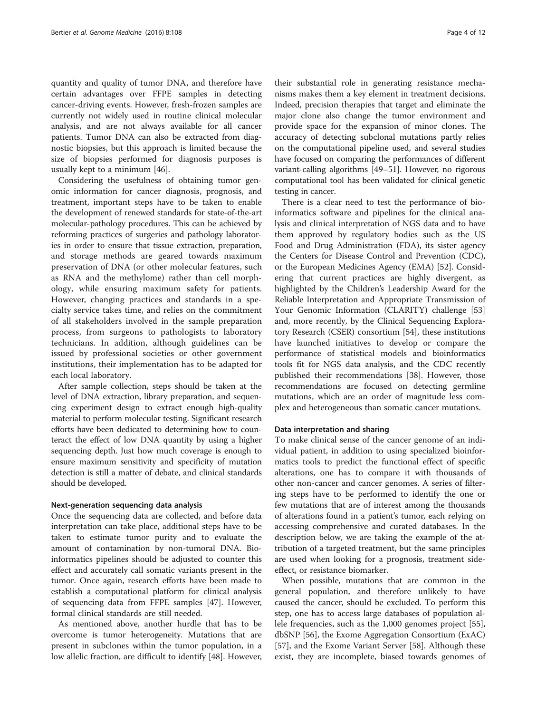quantity and quality of tumor DNA, and therefore have certain advantages over FFPE samples in detecting cancer-driving events. However, fresh-frozen samples are currently not widely used in routine clinical molecular analysis, and are not always available for all cancer patients. Tumor DNA can also be extracted from diagnostic biopsies, but this approach is limited because the size of biopsies performed for diagnosis purposes is usually kept to a minimum [[46](#page-10-0)].

Considering the usefulness of obtaining tumor genomic information for cancer diagnosis, prognosis, and treatment, important steps have to be taken to enable the development of renewed standards for state-of-the-art molecular-pathology procedures. This can be achieved by reforming practices of surgeries and pathology laboratories in order to ensure that tissue extraction, preparation, and storage methods are geared towards maximum preservation of DNA (or other molecular features, such as RNA and the methylome) rather than cell morphology, while ensuring maximum safety for patients. However, changing practices and standards in a specialty service takes time, and relies on the commitment of all stakeholders involved in the sample preparation process, from surgeons to pathologists to laboratory technicians. In addition, although guidelines can be issued by professional societies or other government institutions, their implementation has to be adapted for each local laboratory.

After sample collection, steps should be taken at the level of DNA extraction, library preparation, and sequencing experiment design to extract enough high-quality material to perform molecular testing. Significant research efforts have been dedicated to determining how to counteract the effect of low DNA quantity by using a higher sequencing depth. Just how much coverage is enough to ensure maximum sensitivity and specificity of mutation detection is still a matter of debate, and clinical standards should be developed.

# Next-generation sequencing data analysis

Once the sequencing data are collected, and before data interpretation can take place, additional steps have to be taken to estimate tumor purity and to evaluate the amount of contamination by non-tumoral DNA. Bioinformatics pipelines should be adjusted to counter this effect and accurately call somatic variants present in the tumor. Once again, research efforts have been made to establish a computational platform for clinical analysis of sequencing data from FFPE samples [[47](#page-10-0)]. However, formal clinical standards are still needed.

As mentioned above, another hurdle that has to be overcome is tumor heterogeneity. Mutations that are present in subclones within the tumor population, in a low allelic fraction, are difficult to identify [\[48](#page-10-0)]. However,

their substantial role in generating resistance mechanisms makes them a key element in treatment decisions. Indeed, precision therapies that target and eliminate the major clone also change the tumor environment and provide space for the expansion of minor clones. The accuracy of detecting subclonal mutations partly relies on the computational pipeline used, and several studies have focused on comparing the performances of different variant-calling algorithms [\[49](#page-10-0)–[51](#page-10-0)]. However, no rigorous computational tool has been validated for clinical genetic testing in cancer.

There is a clear need to test the performance of bioinformatics software and pipelines for the clinical analysis and clinical interpretation of NGS data and to have them approved by regulatory bodies such as the US Food and Drug Administration (FDA), its sister agency the Centers for Disease Control and Prevention (CDC), or the European Medicines Agency (EMA) [[52\]](#page-10-0). Considering that current practices are highly divergent, as highlighted by the Children's Leadership Award for the Reliable Interpretation and Appropriate Transmission of Your Genomic Information (CLARITY) challenge [[53](#page-10-0)] and, more recently, by the Clinical Sequencing Exploratory Research (CSER) consortium [[54\]](#page-10-0), these institutions have launched initiatives to develop or compare the performance of statistical models and bioinformatics tools fit for NGS data analysis, and the CDC recently published their recommendations [\[38\]](#page-10-0). However, those recommendations are focused on detecting germline mutations, which are an order of magnitude less complex and heterogeneous than somatic cancer mutations.

# Data interpretation and sharing

To make clinical sense of the cancer genome of an individual patient, in addition to using specialized bioinformatics tools to predict the functional effect of specific alterations, one has to compare it with thousands of other non-cancer and cancer genomes. A series of filtering steps have to be performed to identify the one or few mutations that are of interest among the thousands of alterations found in a patient's tumor, each relying on accessing comprehensive and curated databases. In the description below, we are taking the example of the attribution of a targeted treatment, but the same principles are used when looking for a prognosis, treatment sideeffect, or resistance biomarker.

When possible, mutations that are common in the general population, and therefore unlikely to have caused the cancer, should be excluded. To perform this step, one has to access large databases of population allele frequencies, such as the 1,000 genomes project [\[55](#page-10-0)], dbSNP [\[56\]](#page-10-0), the Exome Aggregation Consortium (ExAC) [[57\]](#page-10-0), and the Exome Variant Server [\[58](#page-10-0)]. Although these exist, they are incomplete, biased towards genomes of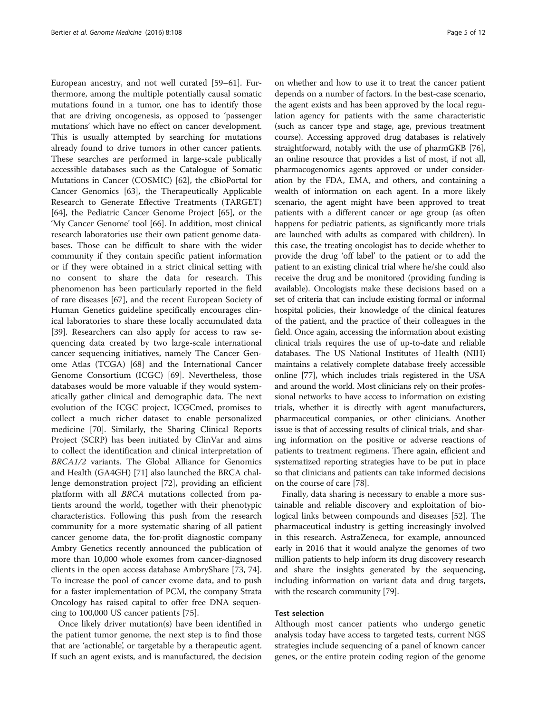European ancestry, and not well curated [[59](#page-10-0)–[61](#page-10-0)]. Furthermore, among the multiple potentially causal somatic mutations found in a tumor, one has to identify those that are driving oncogenesis, as opposed to 'passenger mutations' which have no effect on cancer development. This is usually attempted by searching for mutations already found to drive tumors in other cancer patients. These searches are performed in large-scale publically accessible databases such as the Catalogue of Somatic Mutations in Cancer (COSMIC) [[62\]](#page-10-0), the cBioPortal for Cancer Genomics [[63](#page-10-0)], the Therapeutically Applicable Research to Generate Effective Treatments (TARGET) [[64\]](#page-10-0), the Pediatric Cancer Genome Project [\[65\]](#page-10-0), or the 'My Cancer Genome' tool [\[66](#page-10-0)]. In addition, most clinical research laboratories use their own patient genome databases. Those can be difficult to share with the wider community if they contain specific patient information or if they were obtained in a strict clinical setting with no consent to share the data for research. This phenomenon has been particularly reported in the field of rare diseases [\[67](#page-10-0)], and the recent European Society of Human Genetics guideline specifically encourages clinical laboratories to share these locally accumulated data [[39\]](#page-10-0). Researchers can also apply for access to raw sequencing data created by two large-scale international cancer sequencing initiatives, namely The Cancer Genome Atlas (TCGA) [\[68](#page-10-0)] and the International Cancer Genome Consortium (ICGC) [\[69](#page-10-0)]. Nevertheless, those databases would be more valuable if they would systematically gather clinical and demographic data. The next evolution of the ICGC project, ICGCmed, promises to collect a much richer dataset to enable personalized medicine [[70](#page-10-0)]. Similarly, the Sharing Clinical Reports Project (SCRP) has been initiated by ClinVar and aims to collect the identification and clinical interpretation of BRCA1/2 variants. The Global Alliance for Genomics and Health (GA4GH) [\[71](#page-10-0)] also launched the BRCA challenge demonstration project [[72\]](#page-10-0), providing an efficient platform with all BRCA mutations collected from patients around the world, together with their phenotypic characteristics. Following this push from the research community for a more systematic sharing of all patient cancer genome data, the for-profit diagnostic company Ambry Genetics recently announced the publication of more than 10,000 whole exomes from cancer-diagnosed clients in the open access database AmbryShare [\[73](#page-10-0), [74](#page-10-0)]. To increase the pool of cancer exome data, and to push for a faster implementation of PCM, the company Strata Oncology has raised capital to offer free DNA sequencing to 100,000 US cancer patients [[75](#page-10-0)].

Once likely driver mutation(s) have been identified in the patient tumor genome, the next step is to find those that are 'actionable', or targetable by a therapeutic agent. If such an agent exists, and is manufactured, the decision

on whether and how to use it to treat the cancer patient depends on a number of factors. In the best-case scenario, the agent exists and has been approved by the local regulation agency for patients with the same characteristic (such as cancer type and stage, age, previous treatment course). Accessing approved drug databases is relatively straightforward, notably with the use of pharmGKB [[76](#page-10-0)], an online resource that provides a list of most, if not all, pharmacogenomics agents approved or under consideration by the FDA, EMA, and others, and containing a wealth of information on each agent. In a more likely scenario, the agent might have been approved to treat patients with a different cancer or age group (as often happens for pediatric patients, as significantly more trials are launched with adults as compared with children). In this case, the treating oncologist has to decide whether to provide the drug 'off label' to the patient or to add the patient to an existing clinical trial where he/she could also receive the drug and be monitored (providing funding is available). Oncologists make these decisions based on a set of criteria that can include existing formal or informal hospital policies, their knowledge of the clinical features of the patient, and the practice of their colleagues in the field. Once again, accessing the information about existing clinical trials requires the use of up-to-date and reliable databases. The US National Institutes of Health (NIH) maintains a relatively complete database freely accessible online [\[77\]](#page-10-0), which includes trials registered in the USA and around the world. Most clinicians rely on their professional networks to have access to information on existing trials, whether it is directly with agent manufacturers, pharmaceutical companies, or other clinicians. Another issue is that of accessing results of clinical trials, and sharing information on the positive or adverse reactions of patients to treatment regimens. There again, efficient and systematized reporting strategies have to be put in place so that clinicians and patients can take informed decisions on the course of care [[78](#page-10-0)].

Finally, data sharing is necessary to enable a more sustainable and reliable discovery and exploitation of biological links between compounds and diseases [[52\]](#page-10-0). The pharmaceutical industry is getting increasingly involved in this research. AstraZeneca, for example, announced early in 2016 that it would analyze the genomes of two million patients to help inform its drug discovery research and share the insights generated by the sequencing, including information on variant data and drug targets, with the research community [[79](#page-10-0)].

# Test selection

Although most cancer patients who undergo genetic analysis today have access to targeted tests, current NGS strategies include sequencing of a panel of known cancer genes, or the entire protein coding region of the genome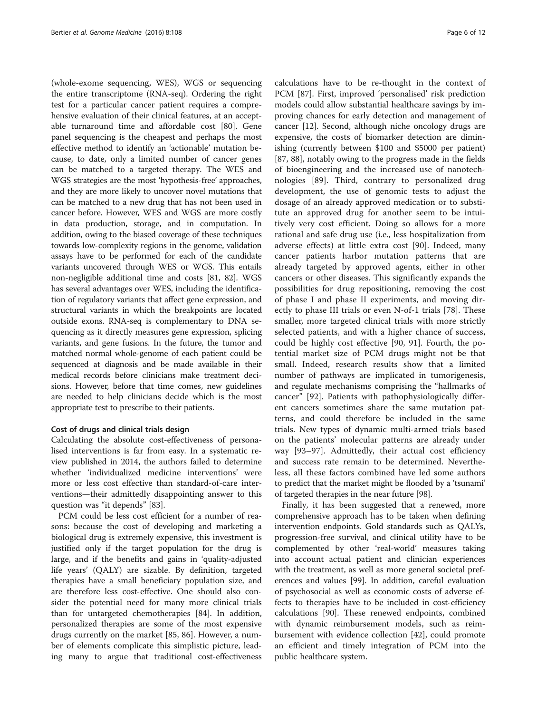(whole-exome sequencing, WES), WGS or sequencing the entire transcriptome (RNA-seq). Ordering the right test for a particular cancer patient requires a comprehensive evaluation of their clinical features, at an acceptable turnaround time and affordable cost [\[80](#page-10-0)]. Gene panel sequencing is the cheapest and perhaps the most effective method to identify an 'actionable' mutation because, to date, only a limited number of cancer genes can be matched to a targeted therapy. The WES and WGS strategies are the most 'hypothesis-free' approaches, and they are more likely to uncover novel mutations that can be matched to a new drug that has not been used in cancer before. However, WES and WGS are more costly in data production, storage, and in computation. In addition, owing to the biased coverage of these techniques towards low-complexity regions in the genome, validation assays have to be performed for each of the candidate variants uncovered through WES or WGS. This entails non-negligible additional time and costs [[81](#page-10-0), [82\]](#page-10-0). WGS has several advantages over WES, including the identification of regulatory variants that affect gene expression, and structural variants in which the breakpoints are located outside exons. RNA-seq is complementary to DNA sequencing as it directly measures gene expression, splicing variants, and gene fusions. In the future, the tumor and matched normal whole-genome of each patient could be sequenced at diagnosis and be made available in their medical records before clinicians make treatment decisions. However, before that time comes, new guidelines are needed to help clinicians decide which is the most appropriate test to prescribe to their patients.

# Cost of drugs and clinical trials design

Calculating the absolute cost-effectiveness of personalised interventions is far from easy. In a systematic review published in 2014, the authors failed to determine whether 'individualized medicine interventions' were more or less cost effective than standard-of-care interventions—their admittedly disappointing answer to this question was "it depends" [\[83](#page-10-0)].

PCM could be less cost efficient for a number of reasons: because the cost of developing and marketing a biological drug is extremely expensive, this investment is justified only if the target population for the drug is large, and if the benefits and gains in 'quality-adjusted life years' (QALY) are sizable. By definition, targeted therapies have a small beneficiary population size, and are therefore less cost-effective. One should also consider the potential need for many more clinical trials than for untargeted chemotherapies [[84\]](#page-10-0). In addition, personalized therapies are some of the most expensive drugs currently on the market [[85](#page-10-0), [86](#page-10-0)]. However, a number of elements complicate this simplistic picture, leading many to argue that traditional cost-effectiveness

calculations have to be re-thought in the context of PCM [\[87](#page-10-0)]. First, improved 'personalised' risk prediction models could allow substantial healthcare savings by improving chances for early detection and management of cancer [\[12](#page-9-0)]. Second, although niche oncology drugs are expensive, the costs of biomarker detection are diminishing (currently between \$100 and \$5000 per patient) [[87,](#page-10-0) [88\]](#page-11-0), notably owing to the progress made in the fields of bioengineering and the increased use of nanotechnologies [[89](#page-11-0)]. Third, contrary to personalized drug development, the use of genomic tests to adjust the dosage of an already approved medication or to substitute an approved drug for another seem to be intuitively very cost efficient. Doing so allows for a more rational and safe drug use (i.e., less hospitalization from adverse effects) at little extra cost [[90\]](#page-11-0). Indeed, many cancer patients harbor mutation patterns that are already targeted by approved agents, either in other cancers or other diseases. This significantly expands the possibilities for drug repositioning, removing the cost of phase I and phase II experiments, and moving directly to phase III trials or even N-of-1 trials [\[78](#page-10-0)]. These smaller, more targeted clinical trials with more strictly selected patients, and with a higher chance of success, could be highly cost effective [\[90](#page-11-0), [91](#page-11-0)]. Fourth, the potential market size of PCM drugs might not be that small. Indeed, research results show that a limited number of pathways are implicated in tumorigenesis, and regulate mechanisms comprising the "hallmarks of cancer" [\[92](#page-11-0)]. Patients with pathophysiologically different cancers sometimes share the same mutation patterns, and could therefore be included in the same trials. New types of dynamic multi-armed trials based on the patients' molecular patterns are already under way [[93](#page-11-0)–[97\]](#page-11-0). Admittedly, their actual cost efficiency and success rate remain to be determined. Nevertheless, all these factors combined have led some authors to predict that the market might be flooded by a 'tsunami' of targeted therapies in the near future [[98](#page-11-0)].

Finally, it has been suggested that a renewed, more comprehensive approach has to be taken when defining intervention endpoints. Gold standards such as QALYs, progression-free survival, and clinical utility have to be complemented by other 'real-world' measures taking into account actual patient and clinician experiences with the treatment, as well as more general societal preferences and values [[99](#page-11-0)]. In addition, careful evaluation of psychosocial as well as economic costs of adverse effects to therapies have to be included in cost-efficiency calculations [\[90\]](#page-11-0). These renewed endpoints, combined with dynamic reimbursement models, such as reimbursement with evidence collection [[42\]](#page-10-0), could promote an efficient and timely integration of PCM into the public healthcare system.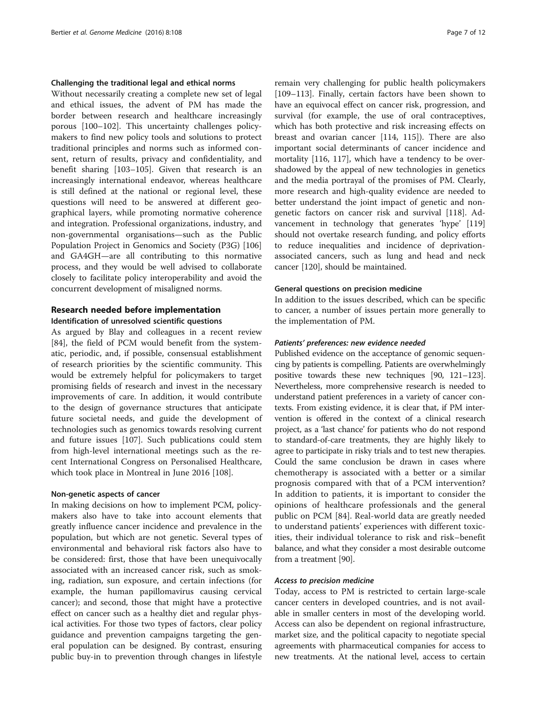### Challenging the traditional legal and ethical norms

Without necessarily creating a complete new set of legal and ethical issues, the advent of PM has made the border between research and healthcare increasingly porous [[100](#page-11-0)–[102](#page-11-0)]. This uncertainty challenges policymakers to find new policy tools and solutions to protect traditional principles and norms such as informed consent, return of results, privacy and confidentiality, and benefit sharing [[103](#page-11-0)–[105](#page-11-0)]. Given that research is an increasingly international endeavor, whereas healthcare is still defined at the national or regional level, these questions will need to be answered at different geographical layers, while promoting normative coherence and integration. Professional organizations, industry, and non-governmental organisations—such as the Public Population Project in Genomics and Society (P3G) [[106](#page-11-0)] and GA4GH—are all contributing to this normative process, and they would be well advised to collaborate closely to facilitate policy interoperability and avoid the concurrent development of misaligned norms.

# Research needed before implementation Identification of unresolved scientific questions

As argued by Blay and colleagues in a recent review [[84\]](#page-10-0), the field of PCM would benefit from the systematic, periodic, and, if possible, consensual establishment of research priorities by the scientific community. This would be extremely helpful for policymakers to target promising fields of research and invest in the necessary improvements of care. In addition, it would contribute to the design of governance structures that anticipate future societal needs, and guide the development of technologies such as genomics towards resolving current and future issues [\[107](#page-11-0)]. Such publications could stem from high-level international meetings such as the recent International Congress on Personalised Healthcare, which took place in Montreal in June 2016 [[108](#page-11-0)].

# Non-genetic aspects of cancer

In making decisions on how to implement PCM, policymakers also have to take into account elements that greatly influence cancer incidence and prevalence in the population, but which are not genetic. Several types of environmental and behavioral risk factors also have to be considered: first, those that have been unequivocally associated with an increased cancer risk, such as smoking, radiation, sun exposure, and certain infections (for example, the human papillomavirus causing cervical cancer); and second, those that might have a protective effect on cancer such as a healthy diet and regular physical activities. For those two types of factors, clear policy guidance and prevention campaigns targeting the general population can be designed. By contrast, ensuring public buy-in to prevention through changes in lifestyle

remain very challenging for public health policymakers [[109](#page-11-0)–[113](#page-11-0)]. Finally, certain factors have been shown to have an equivocal effect on cancer risk, progression, and survival (for example, the use of oral contraceptives, which has both protective and risk increasing effects on breast and ovarian cancer [\[114, 115\]](#page-11-0)). There are also important social determinants of cancer incidence and mortality [[116, 117](#page-11-0)], which have a tendency to be overshadowed by the appeal of new technologies in genetics and the media portrayal of the promises of PM. Clearly, more research and high-quality evidence are needed to better understand the joint impact of genetic and nongenetic factors on cancer risk and survival [[118\]](#page-11-0). Advancement in technology that generates 'hype' [[119](#page-11-0)] should not overtake research funding, and policy efforts to reduce inequalities and incidence of deprivationassociated cancers, such as lung and head and neck cancer [[120](#page-11-0)], should be maintained.

# General questions on precision medicine

In addition to the issues described, which can be specific to cancer, a number of issues pertain more generally to the implementation of PM.

# Patients' preferences: new evidence needed

Published evidence on the acceptance of genomic sequencing by patients is compelling. Patients are overwhelmingly positive towards these new techniques [[90](#page-11-0), [121](#page-11-0)–[123](#page-11-0)]. Nevertheless, more comprehensive research is needed to understand patient preferences in a variety of cancer contexts. From existing evidence, it is clear that, if PM intervention is offered in the context of a clinical research project, as a 'last chance' for patients who do not respond to standard-of-care treatments, they are highly likely to agree to participate in risky trials and to test new therapies. Could the same conclusion be drawn in cases where chemotherapy is associated with a better or a similar prognosis compared with that of a PCM intervention? In addition to patients, it is important to consider the opinions of healthcare professionals and the general public on PCM [[84](#page-10-0)]. Real-world data are greatly needed to understand patients' experiences with different toxicities, their individual tolerance to risk and risk–benefit balance, and what they consider a most desirable outcome from a treatment [[90](#page-11-0)].

#### Access to precision medicine

Today, access to PM is restricted to certain large-scale cancer centers in developed countries, and is not available in smaller centers in most of the developing world. Access can also be dependent on regional infrastructure, market size, and the political capacity to negotiate special agreements with pharmaceutical companies for access to new treatments. At the national level, access to certain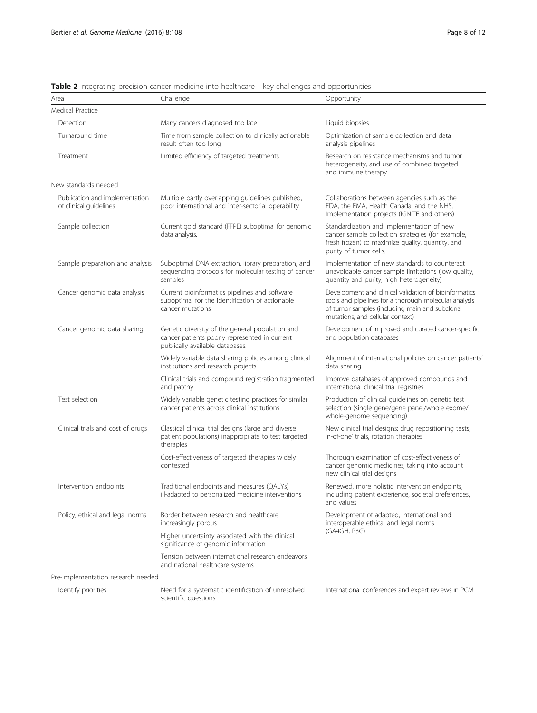| Area                                                     | Challenge                                                                                                                           | Opportunity                                                                                                                                                                                          |  |
|----------------------------------------------------------|-------------------------------------------------------------------------------------------------------------------------------------|------------------------------------------------------------------------------------------------------------------------------------------------------------------------------------------------------|--|
| Medical Practice                                         |                                                                                                                                     |                                                                                                                                                                                                      |  |
| Detection                                                | Many cancers diagnosed too late                                                                                                     | Liquid biopsies                                                                                                                                                                                      |  |
| Turnaround time                                          | Time from sample collection to clinically actionable<br>result often too long                                                       | Optimization of sample collection and data<br>analysis pipelines                                                                                                                                     |  |
| Treatment                                                | Limited efficiency of targeted treatments                                                                                           | Research on resistance mechanisms and tumor<br>heterogeneity, and use of combined targeted<br>and immune therapy                                                                                     |  |
| New standards needed                                     |                                                                                                                                     |                                                                                                                                                                                                      |  |
| Publication and implementation<br>of clinical quidelines | Multiple partly overlapping guidelines published,<br>poor international and inter-sectorial operability                             | Collaborations between agencies such as the<br>FDA, the EMA, Health Canada, and the NHS.<br>Implementation projects (IGNITE and others)                                                              |  |
| Sample collection                                        | Current gold standard (FFPE) suboptimal for genomic<br>data analysis.                                                               | Standardization and implementation of new<br>cancer sample collection strategies (for example,<br>fresh frozen) to maximize quality, quantity, and<br>purity of tumor cells.                         |  |
| Sample preparation and analysis                          | Suboptimal DNA extraction, library preparation, and<br>sequencing protocols for molecular testing of cancer<br>samples              | Implementation of new standards to counteract<br>unavoidable cancer sample limitations (low quality,<br>quantity and purity, high heterogeneity)                                                     |  |
| Cancer genomic data analysis                             | Current bioinformatics pipelines and software<br>suboptimal for the identification of actionable<br>cancer mutations                | Development and clinical validation of bioinformatics<br>tools and pipelines for a thorough molecular analysis<br>of tumor samples (including main and subclonal<br>mutations, and cellular context) |  |
| Cancer genomic data sharing                              | Genetic diversity of the general population and<br>cancer patients poorly represented in current<br>publically available databases. | Development of improved and curated cancer-specific<br>and population databases                                                                                                                      |  |
|                                                          | Widely variable data sharing policies among clinical<br>institutions and research projects                                          | Alignment of international policies on cancer patients'<br>data sharing                                                                                                                              |  |
|                                                          | Clinical trials and compound registration fragmented<br>and patchy                                                                  | Improve databases of approved compounds and<br>international clinical trial registries                                                                                                               |  |
| Test selection                                           | Widely variable genetic testing practices for similar<br>cancer patients across clinical institutions                               | Production of clinical guidelines on genetic test<br>selection (single gene/gene panel/whole exome/<br>whole-genome sequencing)                                                                      |  |
| Clinical trials and cost of drugs                        | Classical clinical trial designs (large and diverse<br>patient populations) inappropriate to test targeted<br>therapies             | New clinical trial designs: drug repositioning tests,<br>'n-of-one' trials, rotation therapies                                                                                                       |  |
|                                                          | Cost-effectiveness of targeted therapies widely<br>contested                                                                        | Thorough examination of cost-effectiveness of<br>cancer genomic medicines, taking into account<br>new clinical trial designs                                                                         |  |
| Intervention endpoints                                   | Traditional endpoints and measures (QALYs)<br>ill-adapted to personalized medicine interventions                                    | Renewed, more holistic intervention endpoints,<br>including patient experience, societal preferences,<br>and values                                                                                  |  |
| Policy, ethical and legal norms                          | Border between research and healthcare<br>increasingly porous                                                                       | Development of adapted, international and<br>interoperable ethical and legal norms                                                                                                                   |  |
|                                                          | Higher uncertainty associated with the clinical<br>significance of genomic information                                              | (GA4GH, P3G)                                                                                                                                                                                         |  |
|                                                          | Tension between international research endeavors<br>and national healthcare systems                                                 |                                                                                                                                                                                                      |  |
| Pre-implementation research needed                       |                                                                                                                                     |                                                                                                                                                                                                      |  |
| Identify priorities                                      | Need for a systematic identification of unresolved<br>scientific questions                                                          | International conferences and expert reviews in PCM                                                                                                                                                  |  |

<span id="page-7-0"></span>Table 2 Integrating precision cancer medicine into healthcare—key challenges and opportunities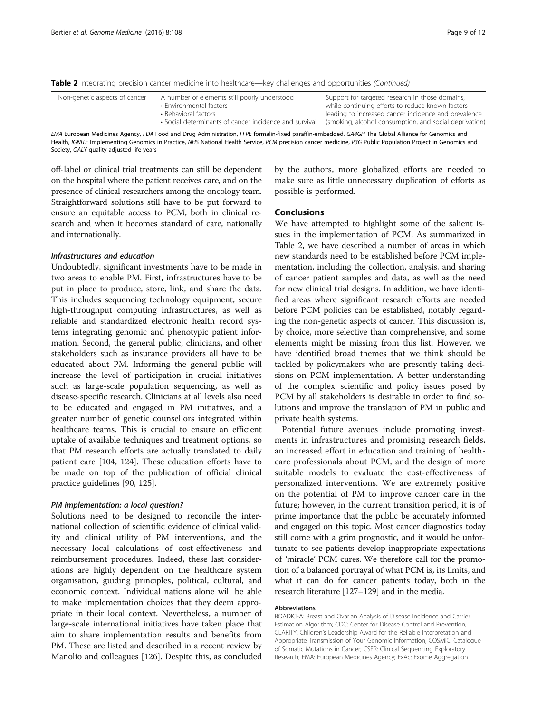Table 2 Integrating precision cancer medicine into healthcare—key challenges and opportunities (Continued)

| while continuing efforts to reduce known factors<br>• Environmental factors<br>• Behavioral factors<br>• Social determinants of cancer incidence and survival | Non-genetic aspects of cancer | A number of elements still poorly understood | Support for targeted research in those domains,<br>leading to increased cancer incidence and prevalence<br>(smoking, alcohol consumption, and social deprivation) |
|---------------------------------------------------------------------------------------------------------------------------------------------------------------|-------------------------------|----------------------------------------------|-------------------------------------------------------------------------------------------------------------------------------------------------------------------|
|---------------------------------------------------------------------------------------------------------------------------------------------------------------|-------------------------------|----------------------------------------------|-------------------------------------------------------------------------------------------------------------------------------------------------------------------|

EMA European Medicines Agency, FDA Food and Drug Administration, FFPE formalin-fixed paraffin-embedded, GA4GH The Global Alliance for Genomics and Health, IGNITE Implementing Genomics in Practice, NHS National Health Service, PCM precision cancer medicine, P3G Public Population Project in Genomics and Society, QALY quality-adjusted life years

off-label or clinical trial treatments can still be dependent on the hospital where the patient receives care, and on the presence of clinical researchers among the oncology team. Straightforward solutions still have to be put forward to ensure an equitable access to PCM, both in clinical research and when it becomes standard of care, nationally and internationally.

# Infrastructures and education

Undoubtedly, significant investments have to be made in two areas to enable PM. First, infrastructures have to be put in place to produce, store, link, and share the data. This includes sequencing technology equipment, secure high-throughput computing infrastructures, as well as reliable and standardized electronic health record systems integrating genomic and phenotypic patient information. Second, the general public, clinicians, and other stakeholders such as insurance providers all have to be educated about PM. Informing the general public will increase the level of participation in crucial initiatives such as large-scale population sequencing, as well as disease-specific research. Clinicians at all levels also need to be educated and engaged in PM initiatives, and a greater number of genetic counsellors integrated within healthcare teams. This is crucial to ensure an efficient uptake of available techniques and treatment options, so that PM research efforts are actually translated to daily patient care [[104, 124](#page-11-0)]. These education efforts have to be made on top of the publication of official clinical practice guidelines [[90, 125](#page-11-0)].

## PM implementation: a local question?

Solutions need to be designed to reconcile the international collection of scientific evidence of clinical validity and clinical utility of PM interventions, and the necessary local calculations of cost-effectiveness and reimbursement procedures. Indeed, these last considerations are highly dependent on the healthcare system organisation, guiding principles, political, cultural, and economic context. Individual nations alone will be able to make implementation choices that they deem appropriate in their local context. Nevertheless, a number of large-scale international initiatives have taken place that aim to share implementation results and benefits from PM. These are listed and described in a recent review by Manolio and colleagues [\[126\]](#page-11-0). Despite this, as concluded

by the authors, more globalized efforts are needed to make sure as little unnecessary duplication of efforts as possible is performed.

# Conclusions

We have attempted to highlight some of the salient issues in the implementation of PCM. As summarized in Table [2,](#page-7-0) we have described a number of areas in which new standards need to be established before PCM implementation, including the collection, analysis, and sharing of cancer patient samples and data, as well as the need for new clinical trial designs. In addition, we have identified areas where significant research efforts are needed before PCM policies can be established, notably regarding the non-genetic aspects of cancer. This discussion is, by choice, more selective than comprehensive, and some elements might be missing from this list. However, we have identified broad themes that we think should be tackled by policymakers who are presently taking decisions on PCM implementation. A better understanding of the complex scientific and policy issues posed by PCM by all stakeholders is desirable in order to find solutions and improve the translation of PM in public and private health systems.

Potential future avenues include promoting investments in infrastructures and promising research fields, an increased effort in education and training of healthcare professionals about PCM, and the design of more suitable models to evaluate the cost-effectiveness of personalized interventions. We are extremely positive on the potential of PM to improve cancer care in the future; however, in the current transition period, it is of prime importance that the public be accurately informed and engaged on this topic. Most cancer diagnostics today still come with a grim prognostic, and it would be unfortunate to see patients develop inappropriate expectations of 'miracle' PCM cures. We therefore call for the promotion of a balanced portrayal of what PCM is, its limits, and what it can do for cancer patients today, both in the research literature [[127](#page-11-0)–[129\]](#page-11-0) and in the media.

# Abbreviations

BOADICEA: Breast and Ovarian Analysis of Disease Incidence and Carrier Estimation Algorithm; CDC: Center for Disease Control and Prevention; CLARITY: Children's Leadership Award for the Reliable Interpretation and Appropriate Transmission of Your Genomic Information; COSMIC: Catalogue of Somatic Mutations in Cancer; CSER: Clinical Sequencing Exploratory Research; EMA: European Medicines Agency; ExAc: Exome Aggregation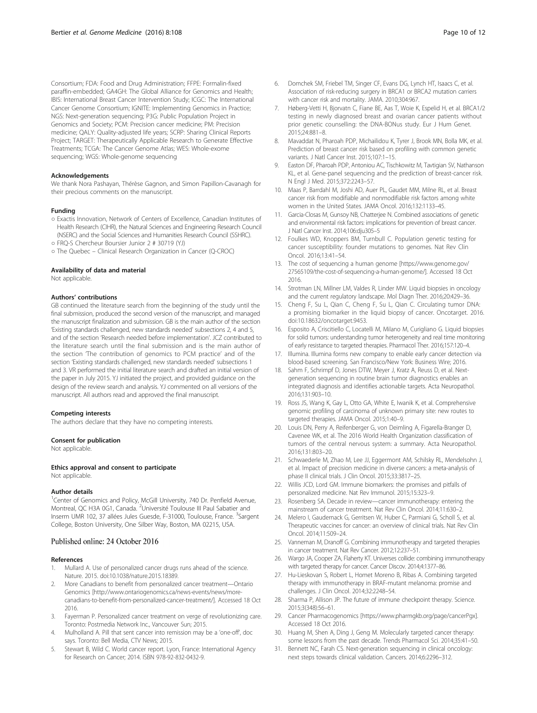<span id="page-9-0"></span>Consortium; FDA: Food and Drug Administration; FFPE: Formalin-fixed paraffin-embedded; GA4GH: The Global Alliance for Genomics and Health; IBIS: International Breast Cancer Intervention Study; ICGC: The International Cancer Genome Consortium; IGNITE: Implementing Genomics in Practice; NGS: Next-generation sequencing; P3G: Public Population Project in Genomics and Society; PCM: Precision cancer medicine; PM: Precision medicine; QALY: Quality-adjusted life years; SCRP: Sharing Clinical Reports Project; TARGET: Therapeutically Applicable Research to Generate Effective Treatments; TCGA: The Cancer Genome Atlas; WES: Whole-exome sequencing; WGS: Whole-genome sequencing

# Acknowledgements

We thank Nora Pashayan, Thérèse Gagnon, and Simon Papillon-Cavanagh for their precious comments on the manuscript.

#### Funding

- Exactis Innovation, Network of Centers of Excellence, Canadian Institutes of Health Research (CIHR), the Natural Sciences and Engineering Research Council (NSERC) and the Social Sciences and Humanities Research Council (SSHRC).
- FRQ-S Chercheur Boursier Junior 2 # 30719 (YJ)
- The Quebec Clinical Research Organization in Cancer (Q-CROC)

#### Availability of data and material

Not applicable.

#### Authors' contributions

GB continued the literature search from the beginning of the study until the final submission, produced the second version of the manuscript, and managed the manuscript finalization and submission. GB is the main author of the section 'Existing standards challenged, new standards needed' subsections 2, 4 and 5, and of the section 'Research needed before implementation'. JCZ contributed to the literature search until the final submission and is the main author of the section 'The contribution of genomics to PCM practice' and of the section 'Existing standards challenged, new standards needed' subsections 1 and 3. VR performed the initial literature search and drafted an initial version of the paper in July 2015. YJ initiated the project, and provided guidance on the design of the review search and analysis. YJ commented on all versions of the manuscript. All authors read and approved the final manuscript.

#### Competing interests

The authors declare that they have no competing interests.

#### Consent for publication

Not applicable.

#### Ethics approval and consent to participate

Not applicable.

#### Author details

<sup>1</sup>Center of Genomics and Policy, McGill University, 740 Dr. Penfield Avenue, Montreal, QC H3A 0G1, Canada. <sup>2</sup>Université Toulouse III Paul Sabatier and Inserm UMR 102, 37 allées Jules Guesde, F-31000, Toulouse, France. <sup>3</sup>Sargent College, Boston University, One Silber Way, Boston, MA 02215, USA.

#### Published online: 24 October 2016

#### References

- Mullard A. Use of personalized cancer drugs runs ahead of the science. Nature. 2015. doi[:10.1038/nature.2015.18389.](http://dx.doi.org/10.1038/nature.2015.18389)
- 2. More Canadians to benefit from personalized cancer treatment—Ontario Genomics [\[http://www.ontariogenomics.ca/news-events/news/more](http://www.ontariogenomics.ca/news-events/news/more-canadians-to-benefit-from-personalized-cancer-treatment/)[canadians-to-benefit-from-personalized-cancer-treatment/\]](http://www.ontariogenomics.ca/news-events/news/more-canadians-to-benefit-from-personalized-cancer-treatment/). Accessed 18 Oct 2016.
- 3. Fayerman P. Personalized cancer treatment on verge of revolutionizing care. Toronto: Postmedia Network Inc., Vancouver Sun; 2015.
- 4. Mulholland A. Pill that sent cancer into remission may be a 'one-off', doc says. Toronto: Bell Media, CTV News; 2015.
- 5. Stewart B, Wild C. World cancer report. Lyon, France: International Agency for Research on Cancer; 2014. ISBN 978-92-832-0432-9.
- 6. Domchek SM, Friebel TM, Singer CF, Evans DG, Lynch HT, Isaacs C, et al. Association of risk-reducing surgery in BRCA1 or BRCA2 mutation carriers with cancer risk and mortality. JAMA. 2010;304:967.
- 7. Høberg-Vetti H, Bjorvatn C, Fiane BE, Aas T, Woie K, Espelid H, et al. BRCA1/2 testing in newly diagnosed breast and ovarian cancer patients without prior genetic counselling: the DNA-BONus study. Eur J Hum Genet. 2015;24:881–8.
- 8. Mavaddat N, Pharoah PDP, Michailidou K, Tyrer J, Brook MN, Bolla MK, et al. Prediction of breast cancer risk based on profiling with common genetic variants. J Natl Cancer Inst. 2015;107:1–15.
- 9. Easton DF, Pharoah PDP, Antoniou AC, Tischkowitz M, Tavtigian SV, Nathanson KL, et al. Gene-panel sequencing and the prediction of breast-cancer risk. N Engl J Med. 2015;372:2243–57.
- 10. Maas P, Barrdahl M, Joshi AD, Auer PL, Gaudet MM, Milne RL, et al. Breast cancer risk from modifiable and nonmodifiable risk factors among white women in the United States. JAMA Oncol. 2016;132:1133–45.
- 11. Garcia-Closas M, Gunsoy NB, Chatterjee N. Combined associations of genetic and environmental risk factors: implications for prevention of breast cancer. J Natl Cancer Inst. 2014;106:dju305–5
- 12. Foulkes WD, Knoppers BM, Turnbull C. Population genetic testing for cancer susceptibility: founder mutations to genomes. Nat Rev Clin Oncol. 2016;13:41–54.
- 13. The cost of sequencing a human genome [[https://www.genome.gov/](https://www.genome.gov/27565109/the-cost-of-sequencing-a-human-genome/) [27565109/the-cost-of-sequencing-a-human-genome/\]](https://www.genome.gov/27565109/the-cost-of-sequencing-a-human-genome/). Accessed 18 Oct 2016.
- 14. Strotman LN, Millner LM, Valdes R, Linder MW. Liquid biopsies in oncology and the current regulatory landscape. Mol Diagn Ther. 2016;20:429–36.
- 15. Cheng F, Su L, Qian C, Cheng F, Su L, Qian C. Circulating tumor DNA: a promising biomarker in the liquid biopsy of cancer. Oncotarget. 2016. doi[:10.18632/oncotarget.9453](http://dx.doi.org/10.18632/oncotarget.9453).
- 16. Esposito A, Criscitiello C, Locatelli M, Milano M, Curigliano G. Liquid biopsies for solid tumors: understanding tumor heterogeneity and real time monitoring of early resistance to targeted therapies. Pharmacol Ther. 2016;157:120–4.
- 17. Illumina. Illumina forms new company to enable early cancer detection via blood-based screening. San Francisco/New York: Business Wire; 2016.
- 18. Sahm F, Schrimpf D, Jones DTW, Meyer J, Kratz A, Reuss D, et al. Nextgeneration sequencing in routine brain tumor diagnostics enables an integrated diagnosis and identifies actionable targets. Acta Neuropathol. 2016;131:903–10.
- 19. Ross JS, Wang K, Gay L, Otto GA, White E, Iwanik K, et al. Comprehensive genomic profiling of carcinoma of unknown primary site: new routes to targeted therapies. JAMA Oncol. 2015;1:40–9.
- 20. Louis DN, Perry A, Reifenberger G, von Deimling A, Figarella-Branger D, Cavenee WK, et al. The 2016 World Health Organization classification of tumors of the central nervous system: a summary. Acta Neuropathol. 2016;131:803–20.
- 21. Schwaederle M, Zhao M, Lee JJ, Eggermont AM, Schilsky RL, Mendelsohn J, et al. Impact of precision medicine in diverse cancers: a meta-analysis of phase II clinical trials. J Clin Oncol. 2015;33:3817–25.
- 22. Willis JCD, Lord GM. Immune biomarkers: the promises and pitfalls of personalized medicine. Nat Rev Immunol. 2015;15:323–9.
- 23. Rosenberg SA. Decade in review—cancer immunotherapy: entering the mainstream of cancer treatment. Nat Rev Clin Oncol. 2014;11:630-2.
- 24. Melero I, Gaudernack G, Gerritsen W, Huber C, Parmiani G, Scholl S, et al. Therapeutic vaccines for cancer: an overview of clinical trials. Nat Rev Clin Oncol. 2014;11:509–24.
- 25. Vanneman M, Dranoff G. Combining immunotherapy and targeted therapies in cancer treatment. Nat Rev Cancer. 2012;12:237–51.
- 26. Wargo JA, Cooper ZA, Flaherty KT. Universes collide: combining immunotherapy with targeted therapy for cancer. Cancer Discov. 2014;4:1377–86.
- 27. Hu-Lieskovan S, Robert L, Homet Moreno B, Ribas A. Combining targeted therapy with immunotherapy in BRAF-mutant melanoma: promise and challenges. J Clin Oncol. 2014;32:2248–54.
- 28. Sharma P, Allison JP. The future of immune checkpoint therapy. Science. 2015;3(348):56–61.
- 29. Cancer Pharmacogenomics [[https://www.pharmgkb.org/page/cancerPgx\]](https://www.pharmgkb.org/page/cancerPgx). Accessed 18 Oct 2016.
- 30. Huang M, Shen A, Ding J, Geng M. Molecularly targeted cancer therapy: some lessons from the past decade. Trends Pharmacol Sci. 2014;35:41–50.
- 31. Bennett NC, Farah CS. Next-generation sequencing in clinical oncology: next steps towards clinical validation. Cancers. 2014;6:2296–312.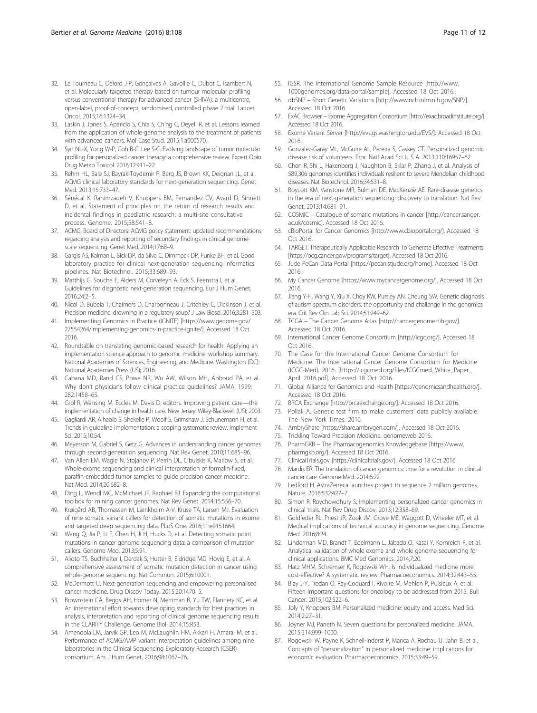- <span id="page-10-0"></span>32. Le Tourneau C, Delord J-P, Gonçalves A, Gavoille C, Dubot C, Isambert N, et al. Molecularly targeted therapy based on tumour molecular profiling versus conventional therapy for advanced cancer (SHIVA): a multicentre, open-label, proof-of-concept, randomised, controlled phase 2 trial. Lancet Oncol. 2015;16:1324–34.
- 33. Laskin J, Jones S, Aparicio S, Chia S, Ch'ng C, Deyell R, et al. Lessons learned from the application of whole-genome analysis to the treatment of patients with advanced cancers. Mol Case Stud. 2015;1:a000570.
- 34. Syn NL-X, Yong W-P, Goh B-C, Lee S-C. Evolving landscape of tumor molecular profiling for personalized cancer therapy: a comprehensive review. Expert Opin Drug Metab Toxicol. 2016;12:911–22.
- 35. Rehm HL, Bale SJ, Bayrak-Toydemir P, Berg JS, Brown KK, Deignan JL, et al. ACMG clinical laboratory standards for next-generation sequencing. Genet Med. 2013;15:733–47.
- 36. Sénécal K, Rahimzadeh V, Knoppers BM, Fernandez CV, Avard D, Sinnett D, et al. Statement of principles on the return of research results and incidental findings in paediatric research: a multi-site consultative process. Genome. 2015;58:541–8.
- 37. ACMG. Board of Directors: ACMG policy statement: updated recommendations regarding analysis and reporting of secondary findings in clinical genomescale sequencing. Genet Med. 2014;17:68–9.
- 38. Gargis AS, Kalman L, Bick DP, da Silva C, Dimmock DP, Funke BH, et al. Good laboratory practice for clinical next-generation sequencing informatics pipelines. Nat Biotechnol. 2015;33:689–93.
- 39. Matthijs G, Souche E, Alders M, Corveleyn A, Eck S, Feenstra I, et al. Guidelines for diagnostic next-generation sequencing. Eur J Hum Genet. 2016;24:2–5.
- 40. Nicol D, Bubela T, Chalmers D, Charbonneau J, Critchley C, Dickinson J, et al. Precision medicine: drowning in a regulatory soup? J Law Biosci. 2016;3:281–303.
- 41. Implementing Genomics in Practice (IGNITE) [\[https://www.genome.gov/](https://www.genome.gov/27554264/implementing-genomics-in-practice-ignite/) [27554264/implementing-genomics-in-practice-ignite/](https://www.genome.gov/27554264/implementing-genomics-in-practice-ignite/)]. Accessed 18 Oct 2016.
- 42. Roundtable on translating genomic-based research for health. Applying an implementation science approach to genomic medicine: workshop summary. National Academies of Sciences, Engineering, and Medicine. Washington (DC): National Academies Press (US); 2016.
- 43. Cabana MD, Rand CS, Powe NR, Wu AW, Wilson MH, Abboud PA, et al. Why don't physicians follow clinical practice guidelines? JAMA. 1999; 282:1458–65.
- 44. Grol R, Wensing M, Eccles M, Davis D, editors. Improving patient care—the implementation of change in health care. New Jersey: Wiley-Blackwell (US); 2003.
- 45. Gagliardi AR, Alhabib S, Shekelle P, Woolf S, Grimshaw J, Schunemann H, et al. Trends in guideline implementation: a scoping systematic review. Implement Sci. 2015;10:54.
- 46. Meyerson M, Gabriel S, Getz G. Advances in understanding cancer genomes through second-generation sequencing. Nat Rev Genet. 2010;11:685–96.
- 47. Van Allen EM, Wagle N, Stojanov P, Perrin DL, Cibulskis K, Marlow S, et al. Whole-exome sequencing and clinical interpretation of formalin-fixed, paraffin-embedded tumor samples to guide precision cancer medicine. Nat Med. 2014;20:682–8.
- 48. Ding L, Wendl MC, McMichael JF, Raphael BJ. Expanding the computational toolbox for mining cancer genomes. Nat Rev Genet. 2014;15:556–70.
- 49. Krøigård AB, Thomassen M, Lænkholm A-V, Kruse TA, Larsen MJ. Evaluation of nine somatic variant callers for detection of somatic mutations in exome and targeted deep sequencing data. PLoS One. 2016;11:e0151664.
- 50. Wang Q, Jia P, Li F, Chen H, Ji H, Hucks D, et al. Detecting somatic point mutations in cancer genome sequencing data: a comparison of mutation callers. Genome Med. 2013;5:91.
- 51. Alioto TS, Buchhalter I, Derdak S, Hutter B, Eldridge MD, Hovig E, et al. A comprehensive assessment of somatic mutation detection in cancer using whole-genome sequencing. Nat Commun. 2015;6:10001.
- 52. McDermott U. Next-generation sequencing and empowering personalised cancer medicine. Drug Discov Today. 2015;20:1470–5.
- 53. Brownstein CA, Beggs AH, Homer N, Merriman B, Yu TW, Flannery KC, et al. An international effort towards developing standards for best practices in analysis, interpretation and reporting of clinical genome sequencing results in the CLARITY Challenge. Genome Biol. 2014;15:R53.
- 54. Amendola LM, Jarvik GP, Leo M, McLaughlin HM, Akkari H, Amaral M, et al. Performance of ACMG/AMP variant interpretation guidelines among nine laboratories in the Clinical Sequencing Exploratory Research (CSER) consortium. Am J Hum Genet. 2016;98:1067–76.
- 55. IGSR. The International Genome Sample Resource [[http://www.](http://www.1000genomes.org/data-portal/sample) [1000genomes.org/data-portal/sample](http://www.1000genomes.org/data-portal/sample)]. Accessed 18 Oct 2016.
- 56. dbSNP Short Genetic Variations [[http://www.ncbi.nlm.nih.gov/SNP/\]](http://www.ncbi.nlm.nih.gov/SNP/). Accessed 18 Oct 2016.
- 57. ExAC Browser Exome Aggregation Consortium [[http://exac.broadinstitute.org/\]](http://exac.broadinstitute.org/). Accessed 18 Oct 2016.
- 58. Exome Variant Server [\[http://evs.gs.washington.edu/EVS/\]](http://evs.gs.washington.edu/EVS/). Accessed 18 Oct 2016.
- 59. Gonzalez-Garay ML, McGuire AL, Pereira S, Caskey CT. Personalized genomic disease risk of volunteers. Proc Natl Acad Sci U S A. 2013;110:16957–62.
- 60. Chen R, Shi L, Hakenberg J, Naughton B, Sklar P, Zhang J, et al. Analysis of 589,306 genomes identifies individuals resilient to severe Mendelian childhood diseases. Nat Biotechnol. 2016;34:531–8.
- 61. Boycott KM, Vanstone MR, Bulman DE, MacKenzie AE. Rare-disease genetics in the era of next-generation sequencing: discovery to translation. Nat Rev Genet. 2013;14:681–91.
- 62. COSMIC Catalogue of somatic mutations in cancer [\[http://cancer.sanger.](http://cancer.sanger.ac.uk/cosmic) [ac.uk/cosmic](http://cancer.sanger.ac.uk/cosmic)]. Accessed 18 Oct 2016.
- 63. cBioPortal for Cancer Genomics [[http://www.cbioportal.org/\]](http://www.cbioportal.org/). Accessed 18 Oct 2016.
- 64. TARGET: Therapeutically Applicable Research To Generate Effective Treatments [<https://ocg.cancer.gov/programs/target>]. Accessed 18 Oct 2016.
- 65. Jude PeCan Data Portal [<https://pecan.stjude.org/home>]. Accessed 18 Oct 2016.
- 66. My Cancer Genome [[https://www.mycancergenome.org/\]](https://www.mycancergenome.org/). Accessed 18 Oct 2016.
- 67. Jiang Y-H, Wang Y, Xiu X, Choy KW, Pursley AN, Cheung SW. Genetic diagnosis of autism spectrum disorders: the opportunity and challenge in the genomics era. Crit Rev Clin Lab Sci. 2014;51:249–62.
- 68. TCGA The Cancer Genome Atlas [<http://cancergenome.nih.gov/>]. Accessed 18 Oct 2016.
- 69. International Cancer Genome Consortium [\[http://icgc.org/](http://icgc.org/)]. Accessed 18 Oct 2016.
- 70. The Case for the International Cancer Genome Consortium for Medicine. The International Cancer Genome Consortium for Medicine (ICGC-Med). 2016. [\[https://icgcmed.org/files/ICGCmed\\_White\\_Paper\\_](https://icgcmed.org/files/ICGCmed_White_Paper_April_2016.pdf) [April\\_2016.pdf](https://icgcmed.org/files/ICGCmed_White_Paper_April_2016.pdf)]. Accessed 18 Oct 2016.
- 71. Global Alliance for Genomics and Health [\[https://genomicsandhealth.org/](https://genomicsandhealth.org/)]. Accessed 18 Oct 2016.
- 72. BRCA Exchange [[http://brcaexchange.org/\]](http://brcaexchange.org/). Accessed 18 Oct 2016.
- 73. Pollak A. Genetic test firm to make customers' data publicly available. The New York Times. 2016.
- AmbryShare [\[https://share.ambrygen.com/\]](https://share.ambrygen.com/). Accessed 18 Oct 2016.
- 75. Trickling Toward Precision Medicine. genomeweb 2016.
- 76. PharmGKB The Pharmacogenomics Knowledgebase [[https://www.](https://www.pharmgkb.org/) [pharmgkb.org/](https://www.pharmgkb.org/)]. Accessed 18 Oct 2016.
- 77. ClinicalTrials.gov [[https://clinicaltrials.gov/\]](https://clinicaltrials.gov/). Accessed 18 Oct 2016.
- 78. Mardis ER. The translation of cancer genomics: time for a revolution in clinical cancer care. Genome Med. 2014;6:22.
- 79. Ledford H. AstraZeneca launches project to sequence 2 million genomes. Nature. 2016;532:427–7.
- 80. Simon R, Roychowdhury S. Implementing personalized cancer genomics in clinical trials. Nat Rev Drug Discov. 2013;12:358–69.
- 81. Goldfeder RL, Priest JR, Zook JM, Grove ME, Waggott D, Wheeler MT, et al. Medical implications of technical accuracy in genome sequencing. Genome Med. 2016;8:24.
- 82. Linderman MD, Brandt T, Edelmann L, Jabado O, Kasai Y, Kornreich R, et al. Analytical validation of whole exome and whole genome sequencing for clinical applications. BMC Med Genomics. 2014;7:20.
- 83. Hatz MHM, Schremser K, Rogowski WH. Is individualized medicine more cost-effective? A systematic review. Pharmacoeconomics. 2014;32:443–55.
- 84. Blay J-Y, Tredan O, Ray-Coquard I, Rivoire M, Mehlen P, Puisieux A, et al. Fifteen important questions for oncology to be addressed from 2015. Bull Cancer. 2015;102:S22–6.
- 85. Joly Y, Knoppers BM. Personalized medicine: equity and access. Med Sci. 2014;2:27–31.
- 86. Joyner MJ, Paneth N. Seven questions for personalized medicine. JAMA. 2015;314:999–1000.
- 87. Rogowski W, Payne K, Schnell-Inderst P, Manca A, Rochau U, Jahn B, et al. Concepts of "personalization" in personalized medicine: implications for economic evaluation. Pharmacoeconomics. 2015;33:49–59.